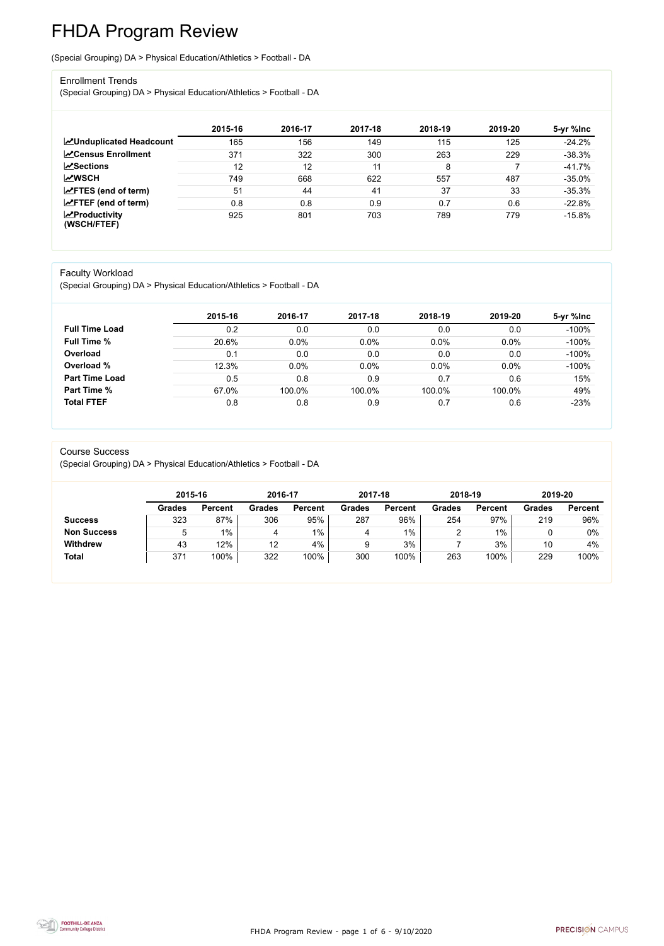FHDA Program Review - page 1 of 6 - 9/10/2020



# FHDA Program Review

(Special Grouping) DA > Physical Education/Athletics > Football - DA

#### Enrollment Trends

(Special Grouping) DA > Physical Education/Athletics > Football - DA

|                                                  | 2015-16 | 2016-17 | 2017-18 | 2018-19 | 2019-20 | 5-yr %lnc |
|--------------------------------------------------|---------|---------|---------|---------|---------|-----------|
| <b>ZUnduplicated Headcount</b>                   | 165     | 156     | 149     | 115     | 125     | $-24.2%$  |
| <b>∠</b> Census Enrollment                       | 371     | 322     | 300     | 263     | 229     | $-38.3%$  |
| <b>ZSections</b>                                 | 12      | 12      | 11      | 8       |         | $-41.7%$  |
| <b>MWSCH</b>                                     | 749     | 668     | 622     | 557     | 487     | $-35.0%$  |
| $\angle$ FTES (end of term)                      | 51      | 44      | 41      | 37      | 33      | $-35.3%$  |
| $\angle$ FTEF (end of term)                      | 0.8     | 0.8     | 0.9     | 0.7     | 0.6     | $-22.8%$  |
| $\sqrt{\frac{1}{2}}$ Productivity<br>(WSCH/FTEF) | 925     | 801     | 703     | 789     | 779     | $-15.8%$  |

#### Faculty Workload

(Special Grouping) DA > Physical Education/Athletics > Football - DA

|                       | 2015-16 | 2016-17 | 2017-18 | 2018-19 | 2019-20 | 5-yr %lnc |
|-----------------------|---------|---------|---------|---------|---------|-----------|
| <b>Full Time Load</b> | 0.2     | 0.0     | 0.0     | 0.0     | 0.0     | $-100%$   |
| <b>Full Time %</b>    | 20.6%   | 0.0%    | 0.0%    | 0.0%    | 0.0%    | $-100%$   |
| Overload              | 0.1     | 0.0     | 0.0     | 0.0     | 0.0     | $-100%$   |
| Overload %            | 12.3%   | 0.0%    | 0.0%    | 0.0%    | 0.0%    | $-100%$   |
| <b>Part Time Load</b> | 0.5     | 0.8     | 0.9     | 0.7     | 0.6     | 15%       |
| <b>Part Time %</b>    | 67.0%   | 100.0%  | 100.0%  | 100.0%  | 100.0%  | 49%       |
| <b>Total FTEF</b>     | 0.8     | 0.8     | 0.9     | 0.7     | 0.6     | $-23%$    |

#### Course Success

(Special Grouping) DA > Physical Education/Athletics > Football - DA

|                    |               | 2015-16        |               | 2016-17        | 2017-18       |                | 2018-19       |                | 2019-20       |                |
|--------------------|---------------|----------------|---------------|----------------|---------------|----------------|---------------|----------------|---------------|----------------|
|                    | <b>Grades</b> | <b>Percent</b> | <b>Grades</b> | <b>Percent</b> | <b>Grades</b> | <b>Percent</b> | <b>Grades</b> | <b>Percent</b> | <b>Grades</b> | <b>Percent</b> |
| <b>Success</b>     | 323           | 87%            | 306           | 95%            | 287           | 96%            | 254           | 97%            | 219           | 96%            |
| <b>Non Success</b> |               | 1%             | 4             | $1\%$          |               | $1\%$          |               | $1\%$          |               | 0%             |
| <b>Withdrew</b>    | 43            | 12%            | 12            | 4%             | 9             | 3%             |               | 3%             | 10            | 4%             |
| <b>Total</b>       | 371           | 100%           | 322           | 100%           | 300           | 100%           | 263           | 100%           | 229           | 100%           |

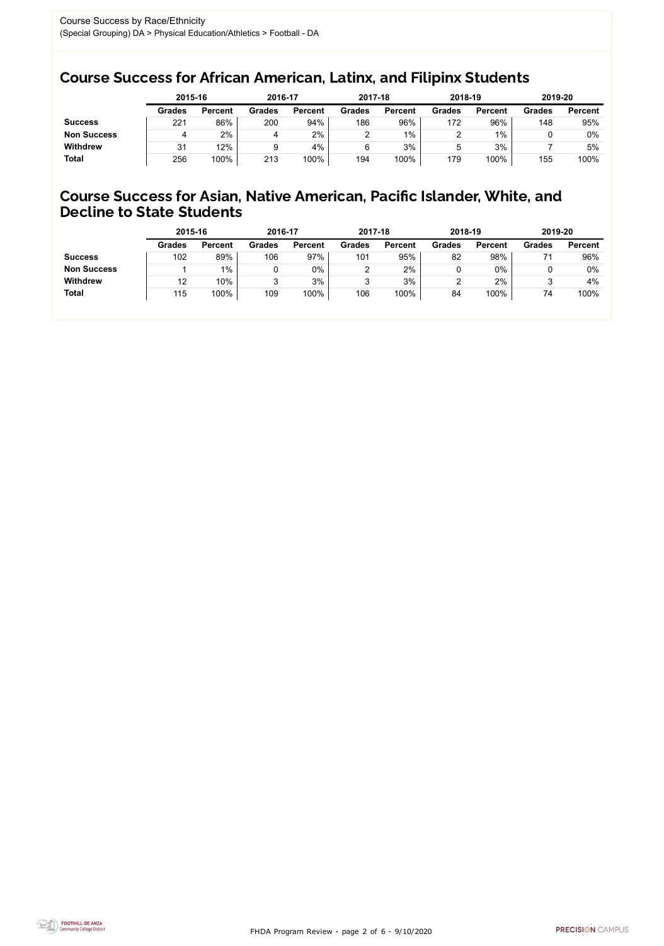FHDA Program Review - page 2 of 6 - 9/10/2020



### Course Success for African American, Latinx, and Filipinx Students

### Course Success for Asian, Native American, Pacific Islander, White, and Decline to State Students

|                    | 2015-16       |                | 2016-17       |                | 2017-18       |                | 2018-19       |                | 2019-20       |                |
|--------------------|---------------|----------------|---------------|----------------|---------------|----------------|---------------|----------------|---------------|----------------|
|                    | <b>Grades</b> | <b>Percent</b> | <b>Grades</b> | <b>Percent</b> | <b>Grades</b> | <b>Percent</b> | <b>Grades</b> | <b>Percent</b> | <b>Grades</b> | <b>Percent</b> |
| <b>Success</b>     | 221           | 86%            | 200           | 94%            | 186           | 96%            | 172           | 96%            | 148           | 95%            |
| <b>Non Success</b> |               | 2%             | 4             | 2%             |               | $1\%$          |               | $1\%$          |               | 0%             |
| <b>Withdrew</b>    | 31            | 12%            |               | 4%             |               | 3%             | ხ             | 3%             |               | 5%             |
| <b>Total</b>       | 256           | 100%           | 213           | 100%           | 194           | 100%           | 179           | 100%           | 155           | 100%           |

|                    | 2015-16       |                | 2016-17       |                | 2017-18       |                | 2018-19       |                | 2019-20       |                |
|--------------------|---------------|----------------|---------------|----------------|---------------|----------------|---------------|----------------|---------------|----------------|
|                    | <b>Grades</b> | <b>Percent</b> | <b>Grades</b> | <b>Percent</b> | <b>Grades</b> | <b>Percent</b> | <b>Grades</b> | <b>Percent</b> | <b>Grades</b> | <b>Percent</b> |
| <b>Success</b>     | 102           | 89%            | 106           | 97%            | 101           | 95%            | 82            | 98%            |               | 96%            |
| <b>Non Success</b> |               | $1\%$          |               | $0\%$          |               | 2%             |               | 0%             |               | $0\%$          |
| <b>Withdrew</b>    | 12            | 10%            |               | 3%             |               | 3%             |               | 2%             |               | 4%             |
| <b>Total</b>       | 115           | 100%           | 109           | 100%           | 106           | 100%           | 84            | 100%           | 74            | 100%           |
|                    |               |                |               |                |               |                |               |                |               |                |

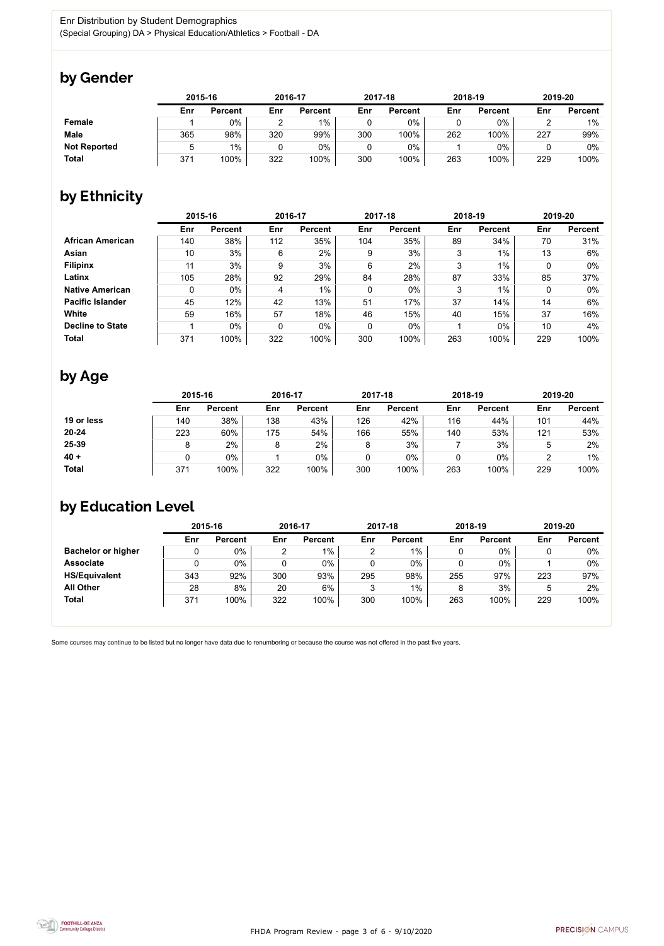

Some courses may continue to be listed but no longer have data due to renumbering or because the course was not offered in the past five years.



## by Gender

|                     |     | 2015-16        |     | 2016-17        |     | 2017-18        |     | 2018-19        |     | 2019-20        |  |
|---------------------|-----|----------------|-----|----------------|-----|----------------|-----|----------------|-----|----------------|--|
|                     | Enr | <b>Percent</b> | Enr | <b>Percent</b> | Enr | <b>Percent</b> | Enr | <b>Percent</b> | Enr | <b>Percent</b> |  |
| <b>Female</b>       |     | $0\%$          |     | $1\%$          |     | 0%             |     | $0\%$          |     | 1%             |  |
| <b>Male</b>         | 365 | 98%            | 320 | 99%            | 300 | 100%           | 262 | 100%           | 227 | 99%            |  |
| <b>Not Reported</b> |     | $1\%$          |     | 0%             |     | $0\%$          |     | $0\%$          |     | 0%             |  |
| <b>Total</b>        | 371 | 100%           | 322 | 100%           | 300 | 100%           | 263 | 100%           | 229 | 100%           |  |

## by Ethnicity

|                         | 2015-16 |                |     | 2016-17        |             | 2017-18        |     | 2018-19        |     | 2019-20        |
|-------------------------|---------|----------------|-----|----------------|-------------|----------------|-----|----------------|-----|----------------|
|                         | Enr     | <b>Percent</b> | Enr | <b>Percent</b> | Enr         | <b>Percent</b> | Enr | <b>Percent</b> | Enr | <b>Percent</b> |
| <b>African American</b> | 140     | 38%            | 112 | 35%            | 104         | 35%            | 89  | 34%            | 70  | 31%            |
| <b>Asian</b>            | 10      | 3%             | 6   | 2%             | 9           | 3%             | 3   | $1\%$          | 13  | 6%             |
| <b>Filipinx</b>         | 11      | 3%             | 9   | 3%             | 6           | 2%             | 3   | $1\%$          | 0   | $0\%$          |
| Latinx                  | 105     | 28%            | 92  | 29%            | 84          | 28%            | 87  | 33%            | 85  | 37%            |
| <b>Native American</b>  | 0       | $0\%$          | 4   | $1\%$          | $\mathbf 0$ | $0\%$          | 3   | 1%             | 0   | $0\%$          |
| <b>Pacific Islander</b> | 45      | 12%            | 42  | 13%            | 51          | 17%            | 37  | 14%            | 14  | 6%             |
| <b>White</b>            | 59      | 16%            | 57  | 18%            | 46          | 15%            | 40  | 15%            | 37  | 16%            |
| <b>Decline to State</b> |         | $0\%$          | 0   | $0\%$          | $\mathbf 0$ | $0\%$          |     | $0\%$          | 10  | 4%             |
| <b>Total</b>            | 371     | 100%           | 322 | 100%           | 300         | 100%           | 263 | 100%           | 229 | 100%           |

# by Age

|              | 2015-16 |                |     | 2016-17        |     | 2017-18        |     | 2018-19        | 2019-20 |                |
|--------------|---------|----------------|-----|----------------|-----|----------------|-----|----------------|---------|----------------|
|              | Enr     | <b>Percent</b> | Enr | <b>Percent</b> | Enr | <b>Percent</b> | Enr | <b>Percent</b> | Enr     | <b>Percent</b> |
| 19 or less   | 140     | 38%            | 138 | 43%            | 126 | 42%            | 116 | 44%            | 101     | 44%            |
| $20 - 24$    | 223     | 60%            | 175 | 54%            | 166 | 55%            | 140 | 53%            | 121     | 53%            |
| 25-39        |         | 2%             |     | $2\%$          | 8   | 3%             |     | 3%             |         | 2%             |
| $40 +$       |         | 0%             |     | $0\%$          | 0   | $0\%$          | u   | $0\%$          |         | $1\%$          |
| <b>Total</b> | 371     | 100%           | 322 | 100%           | 300 | 100%           | 263 | 100%           | 229     | 100%           |

# by Education Level

|                           | 2015-16 |                |     | 2016-17        |     | 2017-18        |     | 2018-19        | 2019-20 |                |
|---------------------------|---------|----------------|-----|----------------|-----|----------------|-----|----------------|---------|----------------|
|                           | Enr     | <b>Percent</b> | Enr | <b>Percent</b> | Enr | <b>Percent</b> | Enr | <b>Percent</b> | Enr     | <b>Percent</b> |
| <b>Bachelor or higher</b> | υ       | $0\%$          | ⌒   | $1\%$          |     | $1\%$          |     | $0\%$          |         | $0\%$          |
| <b>Associate</b>          | υ       | 0%             |     | 0%             |     | $0\%$          |     | $0\%$          |         | 0%             |
| <b>HS/Equivalent</b>      | 343     | 92%            | 300 | 93%            | 295 | 98%            | 255 | 97%            | 223     | 97%            |
| <b>All Other</b>          | 28      | 8%             | 20  | 6%             | ົ   | 1%             |     | 3%             | 5       | 2%             |
| <b>Total</b>              | 371     | 100%           | 322 | 100%           | 300 | 100%           | 263 | 100%           | 229     | 100%           |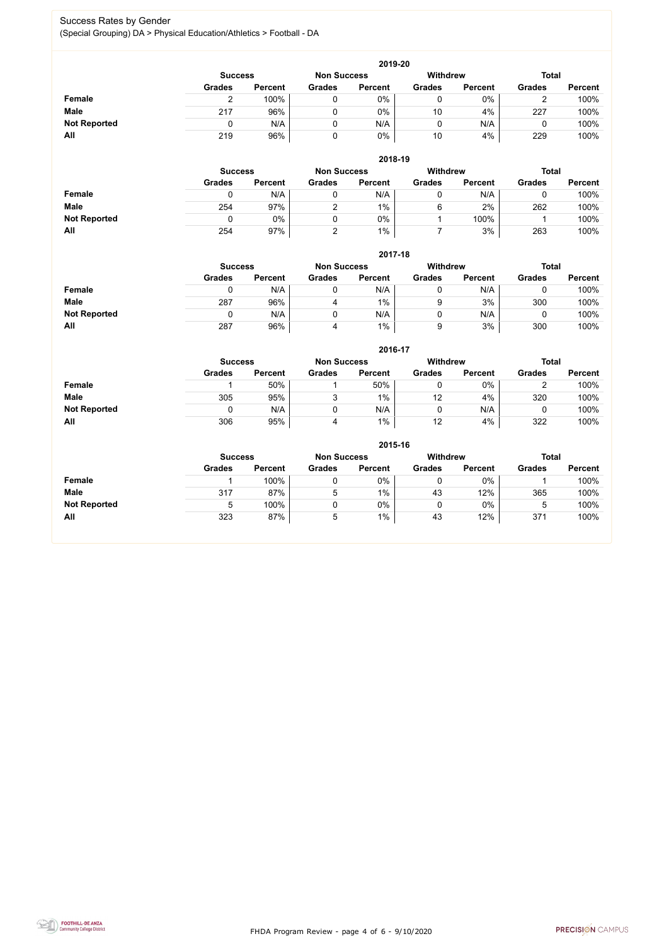FHDA Program Review - page 4 of 6 - 9/10/2020



### Success Rates by Gender (Special Grouping) DA > Physical Education/Athletics > Football - DA

|                     | 2019-20       |                                      |               |                |               |                 |               |                |  |  |  |  |  |
|---------------------|---------------|--------------------------------------|---------------|----------------|---------------|-----------------|---------------|----------------|--|--|--|--|--|
|                     |               | <b>Non Success</b><br><b>Success</b> |               |                |               | <b>Withdrew</b> | <b>Total</b>  |                |  |  |  |  |  |
|                     | <b>Grades</b> | <b>Percent</b>                       | <b>Grades</b> | <b>Percent</b> | <b>Grades</b> | <b>Percent</b>  | <b>Grades</b> | <b>Percent</b> |  |  |  |  |  |
| Female              |               | 100%                                 |               | 0%             |               | $0\%$           |               | 100%           |  |  |  |  |  |
| <b>Male</b>         | 217           | 96%                                  |               | $0\%$          | 10            | 4%              | 227           | 100%           |  |  |  |  |  |
| <b>Not Reported</b> |               | N/A                                  |               | N/A            |               | N/A             |               | 100%           |  |  |  |  |  |
| All                 | 219           | 96%                                  |               | 0%             | 10            | 4%              | 229           | 100%           |  |  |  |  |  |

|                     |               | 2018-19                              |               |                |               |                 |               |                |  |  |  |  |  |  |
|---------------------|---------------|--------------------------------------|---------------|----------------|---------------|-----------------|---------------|----------------|--|--|--|--|--|--|
|                     |               | <b>Non Success</b><br><b>Success</b> |               |                |               | <b>Withdrew</b> | <b>Total</b>  |                |  |  |  |  |  |  |
|                     | <b>Grades</b> | <b>Percent</b>                       | <b>Grades</b> | <b>Percent</b> | <b>Grades</b> | <b>Percent</b>  | <b>Grades</b> | <b>Percent</b> |  |  |  |  |  |  |
| Female              | 0             | N/A                                  |               | N/A            | U             | N/A             |               | 100%           |  |  |  |  |  |  |
| <b>Male</b>         | 254           | 97%                                  |               | $1\%$          | 6             | 2%              | 262           | 100%           |  |  |  |  |  |  |
| <b>Not Reported</b> |               | 0%                                   |               | $0\%$          |               | 100%            |               | 100%           |  |  |  |  |  |  |
| All                 | 254           | 97%                                  |               | $1\%$          |               | 3%              | 263           | 100%           |  |  |  |  |  |  |

|                     |                | 2017-18        |                    |                 |               |                |               |                |  |  |  |  |  |  |
|---------------------|----------------|----------------|--------------------|-----------------|---------------|----------------|---------------|----------------|--|--|--|--|--|--|
|                     | <b>Success</b> |                | <b>Non Success</b> | <b>Withdrew</b> |               | <b>Total</b>   |               |                |  |  |  |  |  |  |
|                     | <b>Grades</b>  | <b>Percent</b> | <b>Grades</b>      | <b>Percent</b>  | <b>Grades</b> | <b>Percent</b> | <b>Grades</b> | <b>Percent</b> |  |  |  |  |  |  |
| <b>Female</b>       |                | N/A            | 0                  | N/A             |               | N/A            | u             | 100%           |  |  |  |  |  |  |
| <b>Male</b>         | 287            | 96%            | 4                  | $1\%$           | 9             | 3%             | 300           | 100%           |  |  |  |  |  |  |
| <b>Not Reported</b> |                | N/A            | 0                  | N/A             | 0             | N/A            | u             | 100%           |  |  |  |  |  |  |
| All                 | 287            | 96%            | 4                  | $1\%$           | 9             | 3%             | 300           | 100%           |  |  |  |  |  |  |

|                     |                | 2016-17        |                    |                |                 |                |               |                |  |  |
|---------------------|----------------|----------------|--------------------|----------------|-----------------|----------------|---------------|----------------|--|--|
|                     | <b>Success</b> |                | <b>Non Success</b> |                | <b>Withdrew</b> |                | <b>Total</b>  |                |  |  |
|                     | <b>Grades</b>  | <b>Percent</b> | <b>Grades</b>      | <b>Percent</b> | <b>Grades</b>   | <b>Percent</b> | <b>Grades</b> | <b>Percent</b> |  |  |
| Female              |                | 50%            |                    | 50%            |                 | $0\%$          |               | 100%           |  |  |
| <b>Male</b>         | 305            | 95%            | 3                  | 1%             | 12              | 4%             | 320           | 100%           |  |  |
| <b>Not Reported</b> | 0              | N/A            |                    | N/A            |                 | N/A            |               | 100%           |  |  |
| All                 | 306            | 95%            | 4                  | $1\%$          | 12              | 4%             | 322           | 100%           |  |  |

|                     | 2015-16        |                |                    |                |               |                |               |                |  |
|---------------------|----------------|----------------|--------------------|----------------|---------------|----------------|---------------|----------------|--|
|                     | <b>Success</b> |                | <b>Non Success</b> |                | Withdrew      |                | <b>Total</b>  |                |  |
|                     | <b>Grades</b>  | <b>Percent</b> | <b>Grades</b>      | <b>Percent</b> | <b>Grades</b> | <b>Percent</b> | <b>Grades</b> | <b>Percent</b> |  |
| Female              |                | 100%           | $\mathbf 0$        | 0%             | 0             | $0\%$          |               | 100%           |  |
| <b>Male</b>         | 317            | 87%            | 5                  | $1\%$          | 43            | 12%            | 365           | 100%           |  |
| <b>Not Reported</b> | 5              | 100%           | 0                  | $0\%$          | ν             | $0\%$          | 5             | 100%           |  |
| All                 | 323            | 87%            | 5                  | $1\%$          | 43            | 12%            | 371           | 100%           |  |

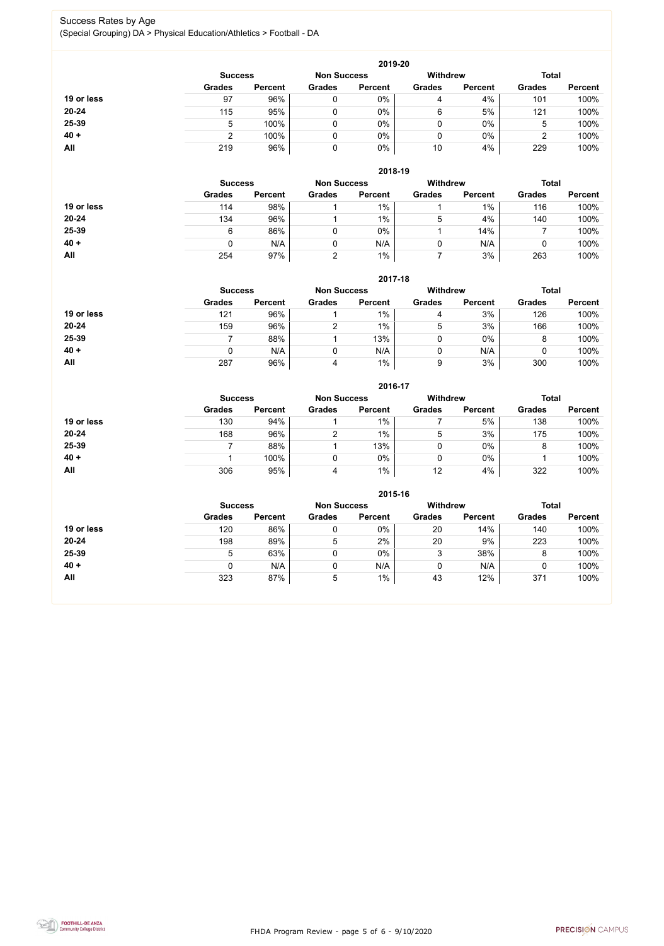FHDA Program Review - page 5 of 6 - 9/10/2020



### Success Rates by Age (Special Grouping) DA > Physical Education/Athletics > Football - DA

|            |                |                    |               | 2019-20         |               |                |               |                |
|------------|----------------|--------------------|---------------|-----------------|---------------|----------------|---------------|----------------|
|            | <b>Success</b> | <b>Non Success</b> |               | <b>Withdrew</b> |               | <b>Total</b>   |               |                |
|            | <b>Grades</b>  | <b>Percent</b>     | <b>Grades</b> | <b>Percent</b>  | <b>Grades</b> | <b>Percent</b> | <b>Grades</b> | <b>Percent</b> |
| 19 or less | 97             | 96%                |               | 0%              | 4             | 4%             | 101           | 100%           |
| 20-24      | 115            | 95%                |               | $0\%$           | 6             | 5%             | 121           | 100%           |
| 25-39      | 5              | 100%               |               | 0%              | 0             | 0%             | 5             | 100%           |
| $40 +$     |                | 100%               |               | 0%              | 0             | $0\%$          |               | 100%           |
| <b>All</b> | 219            | 96%                |               | 0%              | 10            | 4%             | 229           | 100%           |

|            |                |                    |               | 2018-19         |               |                |               |                |
|------------|----------------|--------------------|---------------|-----------------|---------------|----------------|---------------|----------------|
|            | <b>Success</b> | <b>Non Success</b> |               | <b>Withdrew</b> |               | <b>Total</b>   |               |                |
|            | <b>Grades</b>  | <b>Percent</b>     | <b>Grades</b> | <b>Percent</b>  | <b>Grades</b> | <b>Percent</b> | <b>Grades</b> | <b>Percent</b> |
| 19 or less | 114            | 98%                |               | $1\%$           |               | $1\%$          | 116           | 100%           |
| $20 - 24$  | 134            | 96%                |               | $1\%$           | 5             | 4%             | 140           | 100%           |
| 25-39      | 6              | 86%                |               | $0\%$           |               | 14%            |               | 100%           |
| $40 +$     | 0              | N/A                |               | N/A             | 0             | N/A            |               | 100%           |
| All        | 254            | 97%                | ົ             | $1\%$           |               | 3%             | 263           | 100%           |

#### **2017-18**

|            |                |                    |               | 2017-18         |               |                |               |                |
|------------|----------------|--------------------|---------------|-----------------|---------------|----------------|---------------|----------------|
|            | <b>Success</b> | <b>Non Success</b> |               | <b>Withdrew</b> |               | <b>Total</b>   |               |                |
|            | <b>Grades</b>  | <b>Percent</b>     | <b>Grades</b> | <b>Percent</b>  | <b>Grades</b> | <b>Percent</b> | <b>Grades</b> | <b>Percent</b> |
| 19 or less | 121            | 96%                |               | $1\%$           | 4             | 3%             | 126           | 100%           |
| $20 - 24$  | 159            | 96%                |               | $1\%$           | 5             | 3%             | 166           | 100%           |
| 25-39      |                | 88%                |               | 13%             |               | $0\%$          |               | 100%           |
| $40 +$     | 0              | N/A                |               | N/A             |               | N/A            |               | 100%           |
| All        | 287            | 96%                | 4             | 1%              | 9             | 3%             | 300           | 100%           |

#### **2016-17**



|            |                |                    |               | 2010-17         |               |                |               |                |
|------------|----------------|--------------------|---------------|-----------------|---------------|----------------|---------------|----------------|
|            | <b>Success</b> | <b>Non Success</b> |               | <b>Withdrew</b> |               | <b>Total</b>   |               |                |
|            | <b>Grades</b>  | <b>Percent</b>     | <b>Grades</b> | <b>Percent</b>  | <b>Grades</b> | <b>Percent</b> | <b>Grades</b> | <b>Percent</b> |
| 19 or less | 130            | 94%                |               | $1\%$           |               | 5%             | 138           | 100%           |
| $20 - 24$  | 168            | 96%                | ົ             | 1%              | 5             | 3%             | 175           | 100%           |
| 25-39      |                | 88%                |               | 13%             |               | $0\%$          |               | 100%           |
| $40 +$     |                | 100%               |               | 0%              |               | $0\%$          |               | 100%           |
| All        | 306            | 95%                | 4             | $1\%$           | 12            | 4%             | 322           | 100%           |

|            |                                      |                |               | 2015-16        |                 |                |               |                |
|------------|--------------------------------------|----------------|---------------|----------------|-----------------|----------------|---------------|----------------|
|            | <b>Non Success</b><br><b>Success</b> |                |               |                | <b>Withdrew</b> |                | <b>Total</b>  |                |
|            | <b>Grades</b>                        | <b>Percent</b> | <b>Grades</b> | <b>Percent</b> | <b>Grades</b>   | <b>Percent</b> | <b>Grades</b> | <b>Percent</b> |
| 19 or less | 120                                  | 86%            |               | $0\%$          | 20              | 14%            | 140           | 100%           |
| 20-24      | 198                                  | 89%            | 5             | 2%             | 20              | 9%             | 223           | 100%           |
| 25-39      | 5                                    | 63%            |               | $0\%$          | 3               | 38%            | 8             | 100%           |
| $40 +$     | 0                                    | N/A            |               | N/A            |                 | N/A            |               | 100%           |
| All        | 323                                  | 87%            | 5             | $1\%$          | 43              | 12%            | 371           | 100%           |